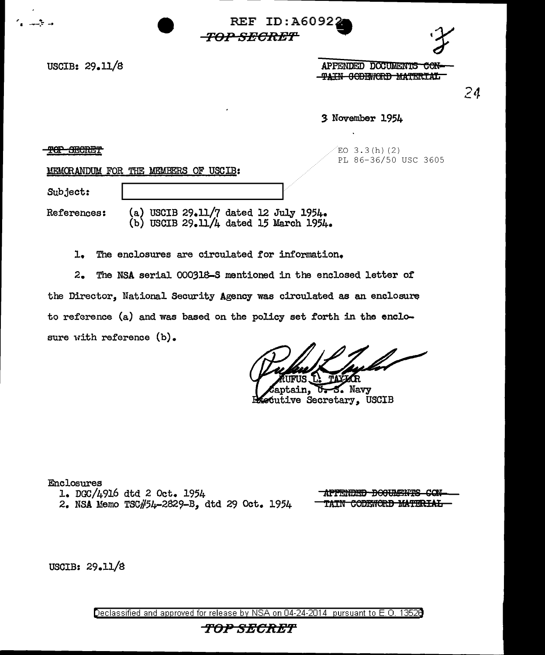

USCIB: 29.11/8 APPENDED DOCUMENTS CON--<del>TAIN CODEWORD MATERIAL</del>

24

3 November 1954

<del>TOP SHCRET</del>

 $EO$  3.3(h)(2) PL 86-36/50 USC 3605

MEMORANDUM FOR THE MEMBERS OF USCIB:

' .. <sup>I</sup>---.~ -• REF ID:A6092.

Subject:

References: (a) USCIB 29.11/7 dated 12 July 1954. (b) USCIB  $29.11/4$  dated 15 March 1954.

-<del>TOP SECRET'</del>

1. The enclosures are circulated for information.

2. The NSA serial 000318-S mentioned in the enclosed letter of the Director, National Security Agency was circulated as an enclosure to reference (a) and was based on the policy set forth in the enclosure with reference (b).

Laptain, U.S. Navy<br>Executive Secretary, USCIB

Enclosures 1. DGC/4916 dtd 2 Oct. 1954

2. NSA Memo TSC#54-2829-B, dtd 29 Oct. 1954

<del>APPENDED DOGUMENTS CON</del> TAIN CODENORD MATERIAL

USCIB: 29.11/B

Declassified and approved for release by NSA on 04-24-2014 pursuant to E. 0. 1352B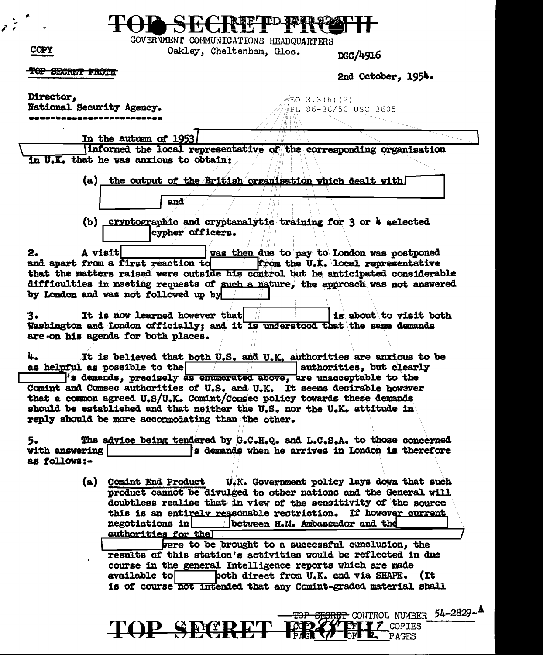|                                                                                             | GOVERNMENI COMMUNICATIONS HEADQUARTERS                                                                                                                                                                                                                                                                         |
|---------------------------------------------------------------------------------------------|----------------------------------------------------------------------------------------------------------------------------------------------------------------------------------------------------------------------------------------------------------------------------------------------------------------|
| <b>COPY</b>                                                                                 | Oakley, Cheltenham, Glos.<br>DGC/4916                                                                                                                                                                                                                                                                          |
| <del>IOP SECRET FROTH</del>                                                                 | 2nd October, 1954.                                                                                                                                                                                                                                                                                             |
| Director,<br>National Security Agency.                                                      | ojEO 3.3(h)(2)<br>PL 86-36/50 USC 3605                                                                                                                                                                                                                                                                         |
| In the autumn of 1953,                                                                      |                                                                                                                                                                                                                                                                                                                |
|                                                                                             | informed the local representative of the corresponding organisation                                                                                                                                                                                                                                            |
| in U.K. that he was anxious to obtain:                                                      |                                                                                                                                                                                                                                                                                                                |
| and                                                                                         | (a) the output of the British organisation which dealt with                                                                                                                                                                                                                                                    |
| cypher officers.                                                                            | (b) cryptographic and cryptanalytic training for 3 or 4 selected                                                                                                                                                                                                                                               |
| A visit<br>2.<br>and apart from a first reaction to<br>by London and was not followed up by | was then due to pay to London was postponed<br>from the U.K. local representative<br>that the matters raised were outside his control but he anticipated considerable<br>difficulties in meeting requests of such a nature, the approach was not answered                                                      |
| It is now learned however that<br>з.<br>are on his agenda for both places.                  | is about to visit both<br>Washington and London officially; and it is understood that the same demands                                                                                                                                                                                                         |
| 4.<br>as helpful as possible to the                                                         | It is believed that both U.S. and U.K. authorities are anxious to be<br>authorities, but clearly                                                                                                                                                                                                               |
|                                                                                             | 's demands, precisely as enumerated above, are unacceptable to the<br>Comint and Comsec authorities of U.S. and U.K. It seems desirable however<br>that a common agreed $U_sS/U_sK_s$ . Comint/Consec policy towards these demands<br>should be established and that neither the U.S. nor the U.K. attitude in |
| reply should be more accormodating than the other.                                          |                                                                                                                                                                                                                                                                                                                |
| 5.<br>with answering<br>as follows:-                                                        | The advice being tendered by G.C.H.Q. and L.C.S.A. to those concerned<br>s demands when he arrives in London is therefore                                                                                                                                                                                      |
| (a)                                                                                         | Comint End Product U.K. Government policy lays down that such<br>product cannot be divulged to other nations and the General will<br>doubtless realise that in view of the sensitivity of the source<br>this is an entirely reasonable restriction. If however current                                         |
|                                                                                             | negotiations in between H.M. Ambassador and the                                                                                                                                                                                                                                                                |
| authorities for the                                                                         | were to be brought to a successful canclusion, the                                                                                                                                                                                                                                                             |
|                                                                                             | results of this station's activities would be reflected in due                                                                                                                                                                                                                                                 |
| available to                                                                                | course in the general Intelligence reports which are made<br>both direct from U.K. and via SHAPE. (It<br>is of course not intended that any Comint-graded material shall                                                                                                                                       |
|                                                                                             | <b>EGRET</b> CONTROL NUMBER 54-2829-A                                                                                                                                                                                                                                                                          |

 $\mathcal{E}$ 

TOP SECRET FROM FILL COPIES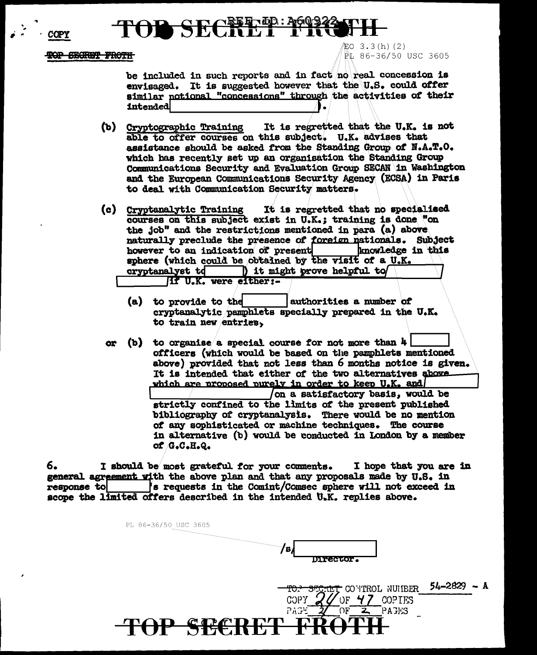TOP SECRET FROTH

**COPY** 

缸O 3.3(h)(2) PL 86-36/50 USC 3605

be included in such reports and in fact no real concession is envisaged. It is suggested however that the U.S. could offer similar notional "concessions" through the activities of their intended

- It is regretted that the U.K. is not (b) Cryptographic Training able to offer courses on this subject. U.K. advises that assistance should be asked from the Standing Group of N.A.T.O. which has recently set up an organisation the Standing Group Communications Security and Evaluation Group SECAN in Washington and the European Communications Security Agency (ECSA) in Paris to deal with Communication Security matters.
- It is regretted that no specialised (c) Cryptanalytic Training courses on this subject exist in U.K.; training is done "on the job" and the restrictions mentioned in para (a) above naturally preclude the presence of foreign nationals. Subject however to an indication of present knowledge in this sphere (which could be obtained by the visit of a U.K. cryptanalyst to ) it might prove helpful to

**If U.K. were either:-**

- (a) to provide to the authorities a number of cryptanalytic pamphlets specially prepared in the U.K. to train new entries,
- (b) to organise a special course for not more than  $4$ or officers (which would be based on the pamphlets mentioned above) provided that not less than 6 months notice is given. It is intended that either of the two alternatives above which are proposed purely in order to keep U.K. and on a satisfactory basis, would be strictly confined to the limits of the present published bibliography of cryptanalysis. There would be no mention of any sophisticated or machine techniques. The course in alternative (b) would be conducted in London by a member of G.C.H.Q.

6. I should be most grateful for your comments. I hope that you are in general agreement with the above plan and that any proposals made by U.S. in 's requests in the Comint/Comsec sphere will not exceed in response to scope the limited offers described in the intended U.K. replies above.

P SECRET

PL 86-36/50 USC 3605

/в/ **Director.** 

**COPY** 

PAGE

CONTROL NUMBER

COPIES

**PACKS** 

 $OF$  4

 $54 - 2829 - A$